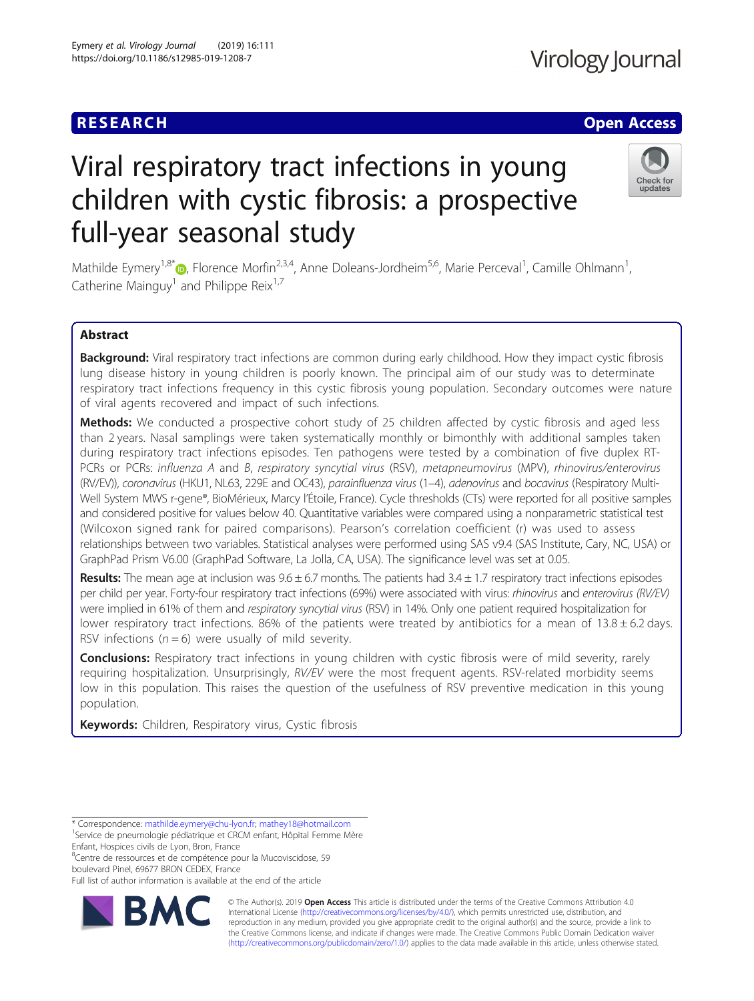# **RESEARCH CHE Open Access**

# Viral respiratory tract infections in young children with cystic fibrosis: a prospective full-year seasonal study



Mathilde Eymery<sup>1,8\*</sup>©, Florence Morfin<sup>2,3,4</sup>, Anne Doleans-Jordheim<sup>5,6</sup>, Marie Perceval<sup>1</sup>, Camille Ohlmann<sup>1</sup> , Catherine Mainguy<sup>1</sup> and Philippe Reix<sup>1,7</sup>

# Abstract

Background: Viral respiratory tract infections are common during early childhood. How they impact cystic fibrosis lung disease history in young children is poorly known. The principal aim of our study was to determinate respiratory tract infections frequency in this cystic fibrosis young population. Secondary outcomes were nature of viral agents recovered and impact of such infections.

**Methods:** We conducted a prospective cohort study of 25 children affected by cystic fibrosis and aged less than 2 years. Nasal samplings were taken systematically monthly or bimonthly with additional samples taken during respiratory tract infections episodes. Ten pathogens were tested by a combination of five duplex RT-PCRs or PCRs: influenza A and B, respiratory syncytial virus (RSV), metapneumovirus (MPV), rhinovirus/enterovirus (RV/EV)), coronavirus (HKU1, NL63, 229E and OC43), parainfluenza virus (1–4), adenovirus and bocavirus (Respiratory Multi-Well System MWS r-gene®, BioMérieux, Marcy l'Étoile, France). Cycle thresholds (CTs) were reported for all positive samples and considered positive for values below 40. Quantitative variables were compared using a nonparametric statistical test (Wilcoxon signed rank for paired comparisons). Pearson's correlation coefficient (r) was used to assess relationships between two variables. Statistical analyses were performed using SAS v9.4 (SAS Institute, Cary, NC, USA) or GraphPad Prism V6.00 (GraphPad Software, La Jolla, CA, USA). The significance level was set at 0.05.

Results: The mean age at inclusion was  $9.6 \pm 6.7$  months. The patients had  $3.4 \pm 1.7$  respiratory tract infections episodes per child per year. Forty-four respiratory tract infections (69%) were associated with virus: rhinovirus and enterovirus (RV/EV) were implied in 61% of them and respiratory syncytial virus (RSV) in 14%. Only one patient required hospitalization for lower respiratory tract infections. 86% of the patients were treated by antibiotics for a mean of  $13.8 \pm 6.2$  days. RSV infections ( $n = 6$ ) were usually of mild severity.

**Conclusions:** Respiratory tract infections in young children with cystic fibrosis were of mild severity, rarely requiring hospitalization. Unsurprisingly, RV/EV were the most frequent agents. RSV-related morbidity seems low in this population. This raises the question of the usefulness of RSV preventive medication in this young population.

Keywords: Children, Respiratory virus, Cystic fibrosis

8 Centre de ressources et de compétence pour la Mucoviscidose, 59 boulevard Pinel, 69677 BRON CEDEX, France

Full list of author information is available at the end of the article



© The Author(s). 2019 **Open Access** This article is distributed under the terms of the Creative Commons Attribution 4.0 International License [\(http://creativecommons.org/licenses/by/4.0/](http://creativecommons.org/licenses/by/4.0/)), which permits unrestricted use, distribution, and reproduction in any medium, provided you give appropriate credit to the original author(s) and the source, provide a link to the Creative Commons license, and indicate if changes were made. The Creative Commons Public Domain Dedication waiver [\(http://creativecommons.org/publicdomain/zero/1.0/](http://creativecommons.org/publicdomain/zero/1.0/)) applies to the data made available in this article, unless otherwise stated.

<sup>\*</sup> Correspondence: [mathilde.eymery@chu-lyon.fr](mailto:mathilde.eymery@chu-lyon.fr); [mathey18@hotmail.com](mailto:mathey18@hotmail.com) <sup>1</sup>

<sup>&</sup>lt;sup>1</sup>Service de pneumologie pédiatrique et CRCM enfant, Hôpital Femme Mère Enfant, Hospices civils de Lyon, Bron, France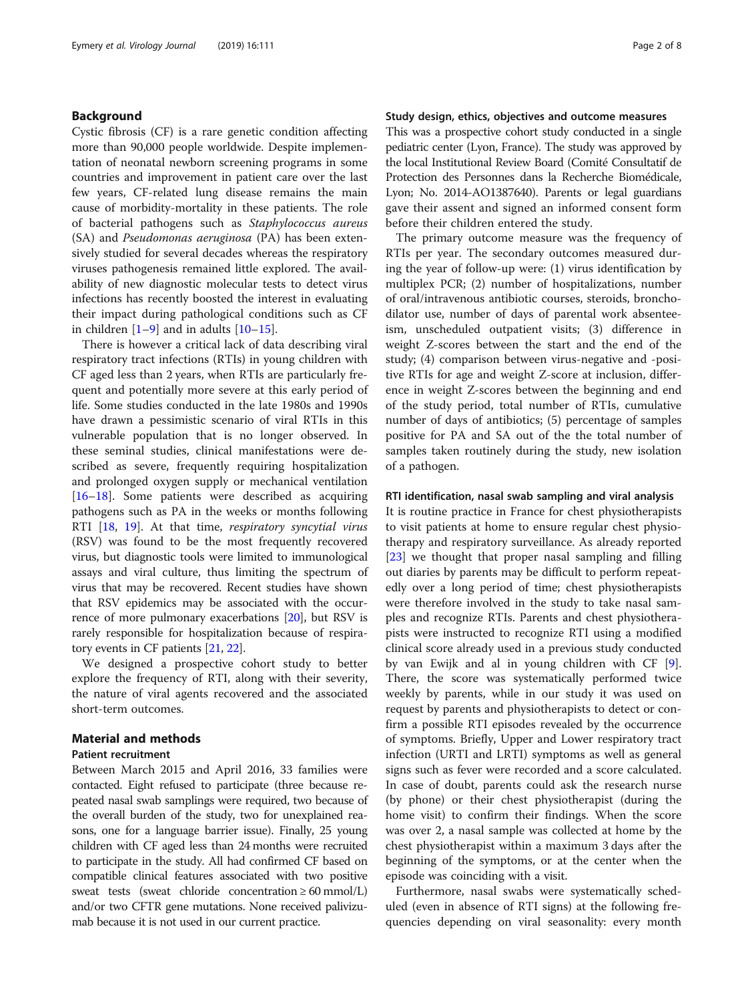# Background

Cystic fibrosis (CF) is a rare genetic condition affecting more than 90,000 people worldwide. Despite implementation of neonatal newborn screening programs in some countries and improvement in patient care over the last few years, CF-related lung disease remains the main cause of morbidity-mortality in these patients. The role of bacterial pathogens such as Staphylococcus aureus (SA) and Pseudomonas aeruginosa (PA) has been extensively studied for several decades whereas the respiratory viruses pathogenesis remained little explored. The availability of new diagnostic molecular tests to detect virus infections has recently boosted the interest in evaluating their impact during pathological conditions such as CF in children  $[1-9]$  $[1-9]$  $[1-9]$  $[1-9]$  and in adults  $[10-15]$  $[10-15]$  $[10-15]$  $[10-15]$  $[10-15]$ .

There is however a critical lack of data describing viral respiratory tract infections (RTIs) in young children with CF aged less than 2 years, when RTIs are particularly frequent and potentially more severe at this early period of life. Some studies conducted in the late 1980s and 1990s have drawn a pessimistic scenario of viral RTIs in this vulnerable population that is no longer observed. In these seminal studies, clinical manifestations were described as severe, frequently requiring hospitalization and prolonged oxygen supply or mechanical ventilation [[16](#page-7-0)–[18](#page-7-0)]. Some patients were described as acquiring pathogens such as PA in the weeks or months following RTI [[18,](#page-7-0) [19](#page-7-0)]. At that time, respiratory syncytial virus (RSV) was found to be the most frequently recovered virus, but diagnostic tools were limited to immunological assays and viral culture, thus limiting the spectrum of virus that may be recovered. Recent studies have shown that RSV epidemics may be associated with the occurrence of more pulmonary exacerbations [\[20\]](#page-7-0), but RSV is rarely responsible for hospitalization because of respiratory events in CF patients [[21,](#page-7-0) [22\]](#page-7-0).

We designed a prospective cohort study to better explore the frequency of RTI, along with their severity, the nature of viral agents recovered and the associated short-term outcomes.

# Material and methods

#### Patient recruitment

Between March 2015 and April 2016, 33 families were contacted. Eight refused to participate (three because repeated nasal swab samplings were required, two because of the overall burden of the study, two for unexplained reasons, one for a language barrier issue). Finally, 25 young children with CF aged less than 24 months were recruited to participate in the study. All had confirmed CF based on compatible clinical features associated with two positive sweat tests (sweat chloride concentration  $\geq 60$  mmol/L) and/or two CFTR gene mutations. None received palivizumab because it is not used in our current practice.

# Study design, ethics, objectives and outcome measures

This was a prospective cohort study conducted in a single pediatric center (Lyon, France). The study was approved by the local Institutional Review Board (Comité Consultatif de Protection des Personnes dans la Recherche Biomédicale, Lyon; No. 2014-AO1387640). Parents or legal guardians gave their assent and signed an informed consent form before their children entered the study.

The primary outcome measure was the frequency of RTIs per year. The secondary outcomes measured during the year of follow-up were: (1) virus identification by multiplex PCR; (2) number of hospitalizations, number of oral/intravenous antibiotic courses, steroids, bronchodilator use, number of days of parental work absenteeism, unscheduled outpatient visits; (3) difference in weight Z-scores between the start and the end of the study; (4) comparison between virus-negative and -positive RTIs for age and weight Z-score at inclusion, difference in weight Z-scores between the beginning and end of the study period, total number of RTIs, cumulative number of days of antibiotics; (5) percentage of samples positive for PA and SA out of the the total number of samples taken routinely during the study, new isolation of a pathogen.

### RTI identification, nasal swab sampling and viral analysis

It is routine practice in France for chest physiotherapists to visit patients at home to ensure regular chest physiotherapy and respiratory surveillance. As already reported [[23\]](#page-7-0) we thought that proper nasal sampling and filling out diaries by parents may be difficult to perform repeatedly over a long period of time; chest physiotherapists were therefore involved in the study to take nasal samples and recognize RTIs. Parents and chest physiotherapists were instructed to recognize RTI using a modified clinical score already used in a previous study conducted by van Ewijk and al in young children with CF [\[9](#page-7-0)]. There, the score was systematically performed twice weekly by parents, while in our study it was used on request by parents and physiotherapists to detect or confirm a possible RTI episodes revealed by the occurrence of symptoms. Briefly, Upper and Lower respiratory tract infection (URTI and LRTI) symptoms as well as general signs such as fever were recorded and a score calculated. In case of doubt, parents could ask the research nurse (by phone) or their chest physiotherapist (during the home visit) to confirm their findings. When the score was over 2, a nasal sample was collected at home by the chest physiotherapist within a maximum 3 days after the beginning of the symptoms, or at the center when the episode was coinciding with a visit.

Furthermore, nasal swabs were systematically scheduled (even in absence of RTI signs) at the following frequencies depending on viral seasonality: every month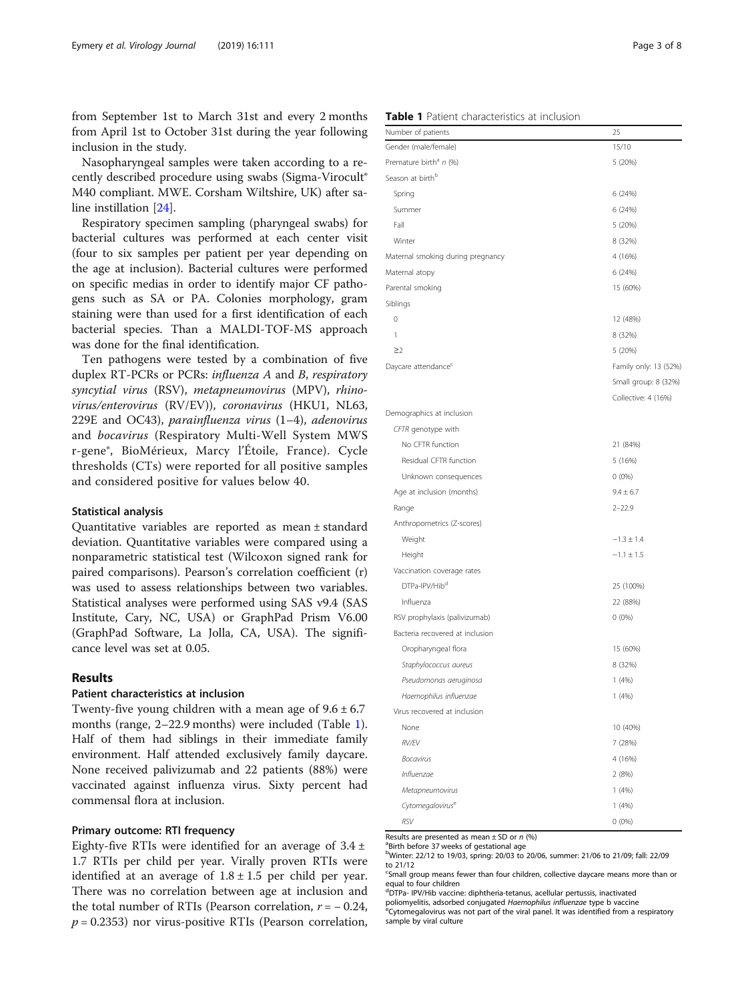from September 1st to March 31st and every 2 months from April 1st to October 31st during the year following inclusion in the study.

Nasopharyngeal samples were taken according to a recently described procedure using swabs (Sigma-Virocult® M40 compliant. MWE. Corsham Wiltshire, UK) after saline instillation [[24\]](#page-7-0).

Respiratory specimen sampling (pharyngeal swabs) for bacterial cultures was performed at each center visit (four to six samples per patient per year depending on the age at inclusion). Bacterial cultures were performed on specific medias in order to identify major CF pathogens such as SA or PA. Colonies morphology, gram staining were than used for a first identification of each bacterial species. Than a MALDI-TOF-MS approach was done for the final identification.

Ten pathogens were tested by a combination of five duplex RT-PCRs or PCRs: influenza A and B, respiratory syncytial virus (RSV), metapneumovirus (MPV), rhinovirus/enterovirus (RV/EV)), coronavirus (HKU1, NL63, 229E and OC43), parainfluenza virus (1–4), adenovirus and bocavirus (Respiratory Multi-Well System MWS r-gene®, BioMérieux, Marcy l'Étoile, France). Cycle thresholds (CTs) were reported for all positive samples and considered positive for values below 40.

#### Statistical analysis

Quantitative variables are reported as mean ± standard deviation. Quantitative variables were compared using a nonparametric statistical test (Wilcoxon signed rank for paired comparisons). Pearson's correlation coefficient (r) was used to assess relationships between two variables. Statistical analyses were performed using SAS v9.4 (SAS Institute, Cary, NC, USA) or GraphPad Prism V6.00 (GraphPad Software, La Jolla, CA, USA). The significance level was set at 0.05.

# Results

### Patient characteristics at inclusion

Twenty-five young children with a mean age of  $9.6 \pm 6.7$ months (range, 2–22.9 months) were included (Table 1). Half of them had siblings in their immediate family environment. Half attended exclusively family daycare. None received palivizumab and 22 patients (88%) were vaccinated against influenza virus. Sixty percent had commensal flora at inclusion.

# Primary outcome: RTI frequency

Eighty-five RTIs were identified for an average of  $3.4 \pm$ 1.7 RTIs per child per year. Virally proven RTIs were identified at an average of  $1.8 \pm 1.5$  per child per year. There was no correlation between age at inclusion and the total number of RTIs (Pearson correlation,  $r = -0.24$ ,  $p = 0.2353$ ) nor virus-positive RTIs (Pearson correlation,

| Gender (male/female)               | 15/10                 |
|------------------------------------|-----------------------|
| Premature birth <sup>a</sup> n (%) | 5 (20%)               |
| Season at birth <sup>b</sup>       |                       |
| Spring                             | 6 (24%)               |
| Summer                             | 6 (24%)               |
| Fall                               | 5 (20%)               |
| Winter                             | 8 (32%)               |
| Maternal smoking during pregnancy  | 4 (16%)               |
| Maternal atopy                     | 6 (24%)               |
| Parental smoking                   | 15 (60%)              |
| Siblings                           |                       |
| $\mathbf 0$                        | 12 (48%)              |
| 1                                  | 8 (32%)               |
| $\geq$ 2                           | 5 (20%)               |
| Daycare attendance <sup>c</sup>    | Family only: 13 (52%) |
|                                    | Small group: 8 (32%)  |
|                                    | Collective: 4 (16%)   |
| Demographics at inclusion          |                       |
| CFTR genotype with                 |                       |
| No CFTR function                   | 21 (84%)              |
| Residual CFTR function             | 5(16%)                |
| Unknown consequences               | $0(0\%)$              |
| Age at inclusion (months)          | $9.4 \pm 6.7$         |
| Range                              | $2 - 22.9$            |
| Anthropometrics (Z-scores)         |                       |
| Weight                             | $-1.3 \pm 1.4$        |
| Height                             | $-1.1 \pm 1.5$        |
| Vaccination coverage rates         |                       |
| DTPa-IPV/Hib <sup>d</sup>          | 25 (100%)             |
| Influenza                          | 22 (88%)              |
| RSV prophylaxis (palivizumab)      | $0(0\%)$              |
| Bacteria recovered at inclusion    |                       |
| Oropharyngeal flora                | 15 (60%)              |
| Staphylococcus aureus              | 8 (32%)               |
| Pseudomonas aeruginosa             | 1(4%)                 |
| Haemophilus influenzae             | 1(4%)                 |
| Virus recovered at inclusion       |                       |
| None                               | 10 (40%)              |
| <b>RV/EV</b>                       | 7 (28%)               |
| <b>Bocavirus</b>                   | 4 (16%)               |
| Influenzae                         | 2 (8%)                |
| Metapneumovirus                    | 1(4%)                 |
| Cytomegalovirus <sup>e</sup>       | 1(4%)                 |
|                                    |                       |

#### Table 1 Patient characteristics at inclusion

Number of patients 25

Results are presented as mean  $\pm$  SD or n (%)

<sup>a</sup>Birth before 37 weeks of gestational ag b Winter: 22/12 to 19/03, spring: 20/03 to 20/06, summer: 21/06 to 21/09; fall: 22/09

to 21/12 <sup>c</sup>Small group means fewer than four children, collective daycare means more than or

equal to four children

d DTPa- IPV/Hib vaccine: diphtheria-tetanus, acellular pertussis, inactivated

 $RSV$  0 (0%)

poliomyelitis, adsorbed conjugated Haemophilus influenzae type b vaccine<br><sup>e</sup>Cytomegalovirus was not part of the viral panel. It was identified from a respiratory sample by viral culture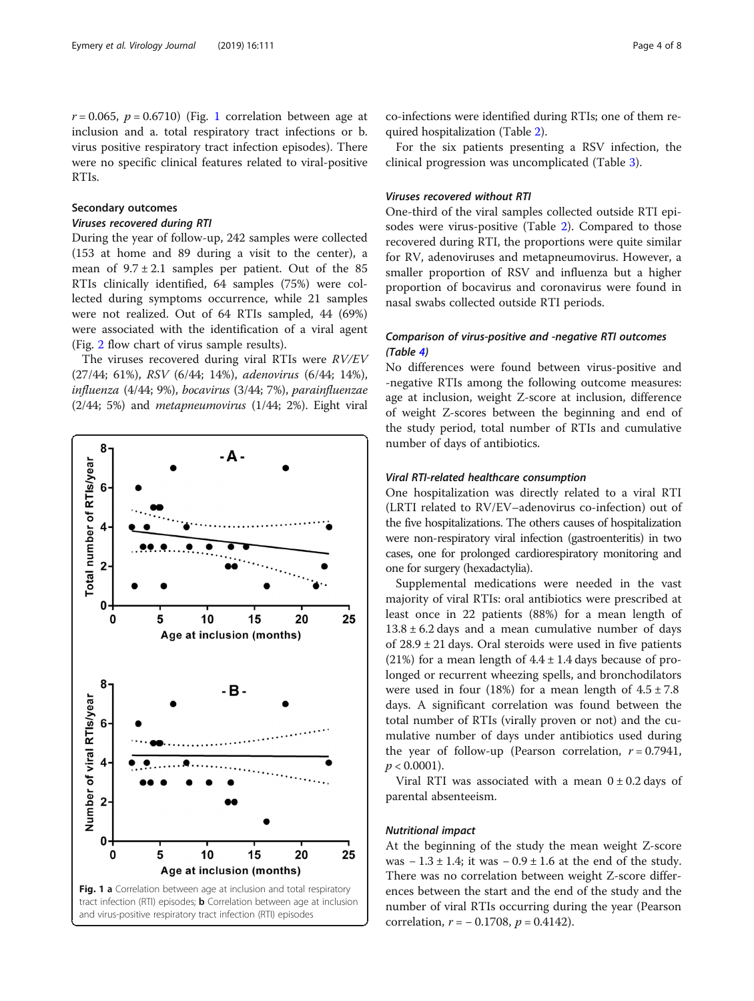# Secondary outcomes

# Viruses recovered during RTI

During the year of follow-up, 242 samples were collected (153 at home and 89 during a visit to the center), a mean of  $9.7 \pm 2.1$  samples per patient. Out of the 85 RTIs clinically identified, 64 samples (75%) were collected during symptoms occurrence, while 21 samples were not realized. Out of 64 RTIs sampled, 44 (69%) were associated with the identification of a viral agent (Fig. [2](#page-4-0) flow chart of virus sample results).

The viruses recovered during viral RTIs were RV/EV (27/44; 61%), RSV (6/44; 14%), adenovirus (6/44; 14%), influenza (4/44; 9%), bocavirus (3/44; 7%), parainfluenzae (2/44; 5%) and metapneumovirus (1/44; 2%). Eight viral



co-infections were identified during RTIs; one of them required hospitalization (Table [2](#page-4-0)).

For the six patients presenting a RSV infection, the clinical progression was uncomplicated (Table [3](#page-5-0)).

### Viruses recovered without RTI

One-third of the viral samples collected outside RTI episodes were virus-positive (Table [2](#page-4-0)). Compared to those recovered during RTI, the proportions were quite similar for RV, adenoviruses and metapneumovirus. However, a smaller proportion of RSV and influenza but a higher proportion of bocavirus and coronavirus were found in nasal swabs collected outside RTI periods.

# Comparison of virus-positive and -negative RTI outcomes (Table [4\)](#page-5-0)

No differences were found between virus-positive and -negative RTIs among the following outcome measures: age at inclusion, weight Z-score at inclusion, difference of weight Z-scores between the beginning and end of the study period, total number of RTIs and cumulative number of days of antibiotics.

# Viral RTI-related healthcare consumption

One hospitalization was directly related to a viral RTI (LRTI related to RV/EV–adenovirus co-infection) out of the five hospitalizations. The others causes of hospitalization were non-respiratory viral infection (gastroenteritis) in two cases, one for prolonged cardiorespiratory monitoring and one for surgery (hexadactylia).

Supplemental medications were needed in the vast majority of viral RTIs: oral antibiotics were prescribed at least once in 22 patients (88%) for a mean length of  $13.8 \pm 6.2$  days and a mean cumulative number of days of  $28.9 \pm 21$  days. Oral steroids were used in five patients (21%) for a mean length of  $4.4 \pm 1.4$  days because of prolonged or recurrent wheezing spells, and bronchodilators were used in four (18%) for a mean length of  $4.5 \pm 7.8$ days. A significant correlation was found between the total number of RTIs (virally proven or not) and the cumulative number of days under antibiotics used during the year of follow-up (Pearson correlation,  $r = 0.7941$ ,  $p < 0.0001$ ).

Viral RTI was associated with a mean  $0 \pm 0.2$  days of parental absenteeism.

#### Nutritional impact

At the beginning of the study the mean weight Z-score was  $-1.3 \pm 1.4$ ; it was  $-0.9 \pm 1.6$  at the end of the study. There was no correlation between weight Z-score differences between the start and the end of the study and the number of viral RTIs occurring during the year (Pearson correlation,  $r = -0.1708$ ,  $p = 0.4142$ ).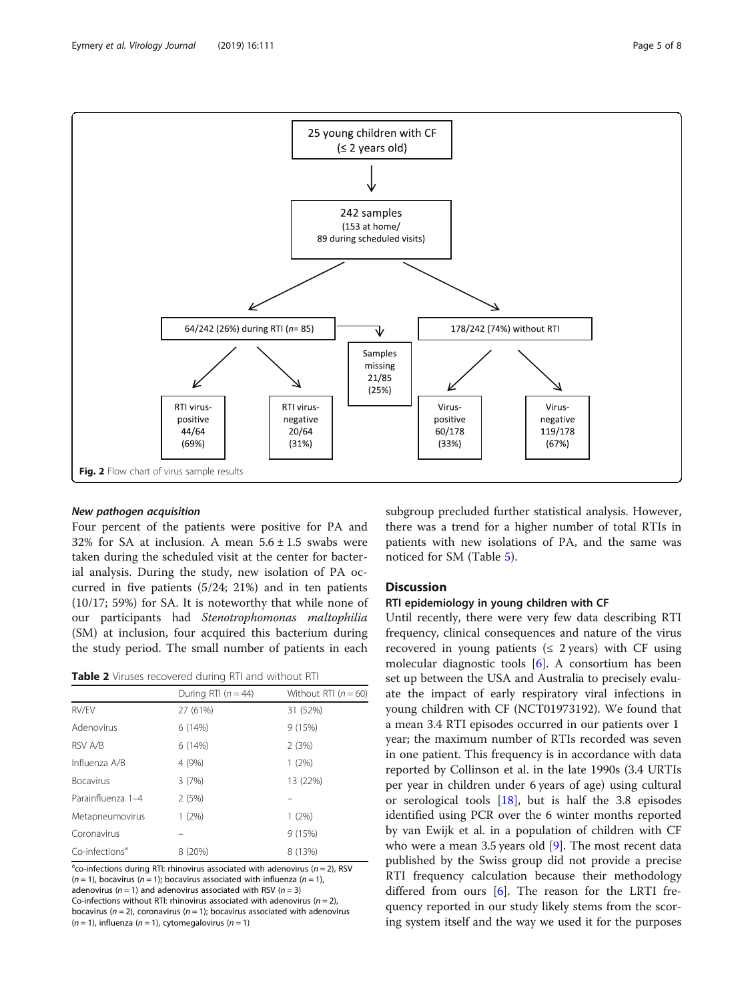<span id="page-4-0"></span>

# New pathogen acquisition

Four percent of the patients were positive for PA and 32% for SA at inclusion. A mean  $5.6 \pm 1.5$  swabs were taken during the scheduled visit at the center for bacterial analysis. During the study, new isolation of PA occurred in five patients (5/24; 21%) and in ten patients (10/17; 59%) for SA. It is noteworthy that while none of our participants had Stenotrophomonas maltophilia (SM) at inclusion, four acquired this bacterium during the study period. The small number of patients in each

| Table 2 Viruses recovered during RTI and without RTI |  |
|------------------------------------------------------|--|
|------------------------------------------------------|--|

|                            | During RTI ( $n = 44$ ) | Without RTI $(n = 60)$ |
|----------------------------|-------------------------|------------------------|
| RV/EV                      | 27 (61%)                | 31 (52%)               |
| Adenovirus                 | 6 (14%)                 | 9(15%)                 |
| RSV A/B                    | 6(14%)                  | 2(3%)                  |
| Influenza A/B              | 4 (9%)                  | 1(2%)                  |
| <b>Bocavirus</b>           | 3(7%)                   | 13 (22%)               |
| Parainfluenza 1-4          | 2(5%)                   |                        |
| Metapneumovirus            | 1(2%)                   | 1(2%)                  |
| Coronavirus                |                         | 9(15%)                 |
| Co-infections <sup>a</sup> | 8 (20%)                 | 8 (13%)                |

<sup>a</sup>co-infections during RTI: rhinovirus associated with adenovirus ( $n = 2$ ), RSV  $(n = 1)$ , bocavirus  $(n = 1)$ ; bocavirus associated with influenza  $(n = 1)$ , adenovirus ( $n = 1$ ) and adenovirus associated with RSV ( $n = 3$ ) Co-infections without RTI: rhinovirus associated with adenovirus  $(n = 2)$ , bocavirus ( $n = 2$ ), coronavirus ( $n = 1$ ); bocavirus associated with adenovirus  $(n = 1)$ , influenza  $(n = 1)$ , cytomegalovirus  $(n = 1)$ 

subgroup precluded further statistical analysis. However, there was a trend for a higher number of total RTIs in patients with new isolations of PA, and the same was noticed for SM (Table [5\)](#page-6-0).

# **Discussion**

# RTI epidemiology in young children with CF

Until recently, there were very few data describing RTI frequency, clinical consequences and nature of the virus recovered in young patients ( $\leq$  2 years) with CF using molecular diagnostic tools [\[6](#page-7-0)]. A consortium has been set up between the USA and Australia to precisely evaluate the impact of early respiratory viral infections in young children with CF (NCT01973192). We found that a mean 3.4 RTI episodes occurred in our patients over 1 year; the maximum number of RTIs recorded was seven in one patient. This frequency is in accordance with data reported by Collinson et al. in the late 1990s (3.4 URTIs per year in children under 6 years of age) using cultural or serological tools [\[18\]](#page-7-0), but is half the 3.8 episodes identified using PCR over the 6 winter months reported by van Ewijk et al. in a population of children with CF who were a mean 3.5 years old [\[9\]](#page-7-0). The most recent data published by the Swiss group did not provide a precise RTI frequency calculation because their methodology differed from ours [[6\]](#page-7-0). The reason for the LRTI frequency reported in our study likely stems from the scoring system itself and the way we used it for the purposes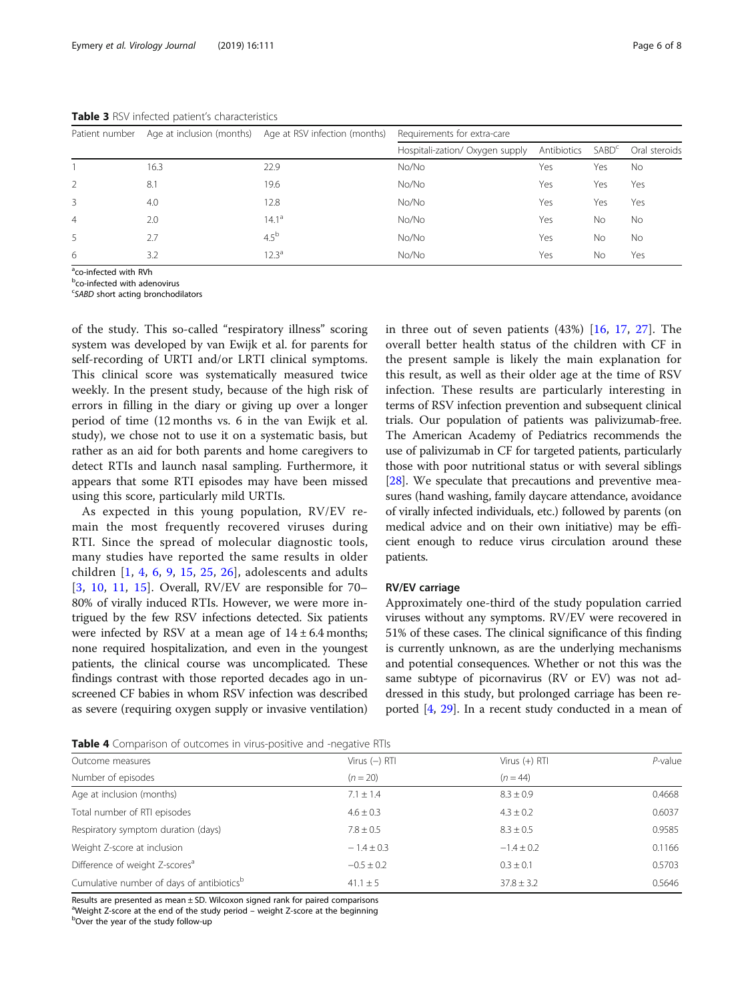|      |                  | Requirements for extra-care                             |             |                   |               |  |
|------|------------------|---------------------------------------------------------|-------------|-------------------|---------------|--|
|      |                  | Hospitali-zation/ Oxygen supply                         | Antibiotics | SABD <sup>c</sup> | Oral steroids |  |
| 16.3 | 22.9             | No/No                                                   | Yes         | Yes               | No            |  |
| 8.1  | 19.6             | No/No                                                   | Yes         | Yes               | Yes           |  |
| 4.0  | 12.8             | No/No                                                   | Yes         | Yes               | Yes           |  |
| 2.0  | $14.1^{\circ}$   | No/No                                                   | Yes         | No                | <b>No</b>     |  |
| 2.7  | 4.5 <sup>b</sup> | No/No                                                   | Yes         | No                | <b>No</b>     |  |
| 3.2  | $12.3^{\circ}$   | No/No                                                   | Yes         | No                | Yes           |  |
|      |                  | Age at inclusion (months) Age at RSV infection (months) |             |                   |               |  |

<span id="page-5-0"></span>Table 3 RSV infected patient's characteristics

<sup>a</sup>co-infected with RVh

**bco-infected with adenovirus** 

<sup>c</sup>SABD short acting bronchodilators

of the study. This so-called "respiratory illness" scoring system was developed by van Ewijk et al. for parents for self-recording of URTI and/or LRTI clinical symptoms. This clinical score was systematically measured twice weekly. In the present study, because of the high risk of errors in filling in the diary or giving up over a longer period of time (12 months vs. 6 in the van Ewijk et al. study), we chose not to use it on a systematic basis, but rather as an aid for both parents and home caregivers to detect RTIs and launch nasal sampling. Furthermore, it appears that some RTI episodes may have been missed using this score, particularly mild URTIs.

As expected in this young population, RV/EV remain the most frequently recovered viruses during RTI. Since the spread of molecular diagnostic tools, many studies have reported the same results in older children [[1,](#page-7-0) [4,](#page-7-0) [6,](#page-7-0) [9,](#page-7-0) [15,](#page-7-0) [25,](#page-7-0) [26\]](#page-7-0), adolescents and adults [[3](#page-7-0), [10](#page-7-0), [11](#page-7-0), [15](#page-7-0)]. Overall, RV/EV are responsible for 70– 80% of virally induced RTIs. However, we were more intrigued by the few RSV infections detected. Six patients were infected by RSV at a mean age of  $14 \pm 6.4$  months; none required hospitalization, and even in the youngest patients, the clinical course was uncomplicated. These findings contrast with those reported decades ago in unscreened CF babies in whom RSV infection was described as severe (requiring oxygen supply or invasive ventilation) in three out of seven patients (43%) [\[16](#page-7-0), [17,](#page-7-0) [27](#page-7-0)]. The overall better health status of the children with CF in the present sample is likely the main explanation for this result, as well as their older age at the time of RSV infection. These results are particularly interesting in terms of RSV infection prevention and subsequent clinical trials. Our population of patients was palivizumab-free. The American Academy of Pediatrics recommends the use of palivizumab in CF for targeted patients, particularly those with poor nutritional status or with several siblings [[28](#page-7-0)]. We speculate that precautions and preventive measures (hand washing, family daycare attendance, avoidance of virally infected individuals, etc.) followed by parents (on medical advice and on their own initiative) may be efficient enough to reduce virus circulation around these patients.

#### RV/EV carriage

Approximately one-third of the study population carried viruses without any symptoms. RV/EV were recovered in 51% of these cases. The clinical significance of this finding is currently unknown, as are the underlying mechanisms and potential consequences. Whether or not this was the same subtype of picornavirus (RV or EV) was not addressed in this study, but prolonged carriage has been reported [[4](#page-7-0), [29\]](#page-7-0). In a recent study conducted in a mean of

| Table 4 Comparison of outcomes in virus-positive and -negative RTIs |  |  |  |
|---------------------------------------------------------------------|--|--|--|
|---------------------------------------------------------------------|--|--|--|

| <b>TWIC</b> T COMPANDON OF OUTCOMES IN VIRGS DOSITIVE AND INEQUITE THIS |                 |                 |         |  |
|-------------------------------------------------------------------------|-----------------|-----------------|---------|--|
| Outcome measures                                                        | Virus $(-)$ RTI | Virus $(+)$ RTI | P-value |  |
| Number of episodes                                                      | $(n = 20)$      | $(n = 44)$      |         |  |
| Age at inclusion (months)                                               | $7.1 \pm 1.4$   | $8.3 \pm 0.9$   | 0.4668  |  |
| Total number of RTI episodes                                            | $4.6 \pm 0.3$   | $4.3 \pm 0.2$   | 0.6037  |  |
| Respiratory symptom duration (days)                                     | $7.8 \pm 0.5$   | $8.3 \pm 0.5$   | 0.9585  |  |
| Weight Z-score at inclusion                                             | $-1.4 \pm 0.3$  | $-1.4 \pm 0.2$  | 0.1166  |  |
| Difference of weight Z-scores <sup>a</sup>                              | $-0.5 \pm 0.2$  | $0.3 \pm 0.1$   | 0.5703  |  |
| Cumulative number of days of antibiotics <sup>b</sup>                   | $41.1 \pm 5$    | $37.8 \pm 3.2$  | 0.5646  |  |
|                                                                         |                 |                 |         |  |

Results are presented as mean  $\pm$  SD. Wilcoxon signed rank for paired comparisons <sup>a</sup>Weight Z-score at the end of the study period – weight Z-score at the beginning<br>bOver the vear of the study follow up b<sub>over</sub> the year of the study follow-up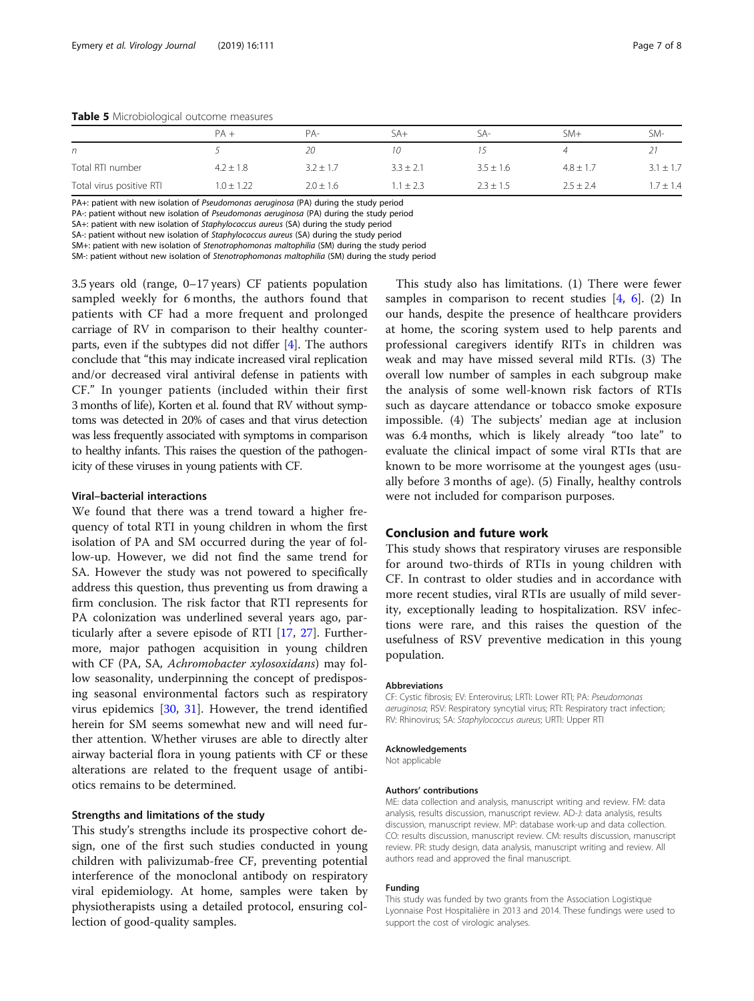<span id="page-6-0"></span>

|                          | $PA +$         | $PA-$         | $SA+$         | SA-           | $SM+$         | SM-           |
|--------------------------|----------------|---------------|---------------|---------------|---------------|---------------|
| n                        |                | 20            |               |               |               |               |
| Total RTI number         | $4.2 \pm 1.8$  | $3.2 \pm 1.7$ | $3.3 \pm 2.1$ | $3.5 \pm 1.6$ | $4.8 \pm 1.7$ | $3.1 \pm 1.7$ |
| Total virus positive RTI | $1.0 \pm 1.22$ | $2.0 \pm 1.6$ | $1 \pm 2.3$   | $2.3 \pm 1.5$ | $2.5 \pm 2.4$ | $1.7 \pm 1.4$ |

PA+: patient with new isolation of Pseudomonas aeruginosa (PA) during the study period PA-: patient without new isolation of Pseudomonas aeruginosa (PA) during the study period

SA+: patient with new isolation of Staphylococcus aureus (SA) during the study period

SA-: patient without new isolation of Staphylococcus aureus (SA) during the study period

SM+: patient with new isolation of Stenotrophomonas maltophilia (SM) during the study period

SM-: patient without new isolation of Stenotrophomonas maltophilia (SM) during the study period

3.5 years old (range, 0–17 years) CF patients population sampled weekly for 6 months, the authors found that patients with CF had a more frequent and prolonged carriage of RV in comparison to their healthy counterparts, even if the subtypes did not differ [\[4](#page-7-0)]. The authors conclude that "this may indicate increased viral replication and/or decreased viral antiviral defense in patients with CF." In younger patients (included within their first 3 months of life), Korten et al. found that RV without symptoms was detected in 20% of cases and that virus detection was less frequently associated with symptoms in comparison to healthy infants. This raises the question of the pathogenicity of these viruses in young patients with CF.

# Viral–bacterial interactions

We found that there was a trend toward a higher frequency of total RTI in young children in whom the first isolation of PA and SM occurred during the year of follow-up. However, we did not find the same trend for SA. However the study was not powered to specifically address this question, thus preventing us from drawing a firm conclusion. The risk factor that RTI represents for PA colonization was underlined several years ago, particularly after a severe episode of RTI [[17,](#page-7-0) [27](#page-7-0)]. Furthermore, major pathogen acquisition in young children with CF (PA, SA, Achromobacter xylosoxidans) may follow seasonality, underpinning the concept of predisposing seasonal environmental factors such as respiratory virus epidemics [\[30](#page-7-0), [31\]](#page-7-0). However, the trend identified herein for SM seems somewhat new and will need further attention. Whether viruses are able to directly alter airway bacterial flora in young patients with CF or these alterations are related to the frequent usage of antibiotics remains to be determined.

# Strengths and limitations of the study

This study's strengths include its prospective cohort design, one of the first such studies conducted in young children with palivizumab-free CF, preventing potential interference of the monoclonal antibody on respiratory viral epidemiology. At home, samples were taken by physiotherapists using a detailed protocol, ensuring collection of good-quality samples.

This study also has limitations. (1) There were fewer samples in comparison to recent studies  $[4, 6]$  $[4, 6]$  $[4, 6]$  $[4, 6]$ . (2) In our hands, despite the presence of healthcare providers at home, the scoring system used to help parents and professional caregivers identify RITs in children was weak and may have missed several mild RTIs. (3) The overall low number of samples in each subgroup make the analysis of some well-known risk factors of RTIs such as daycare attendance or tobacco smoke exposure impossible. (4) The subjects' median age at inclusion was 6.4 months, which is likely already "too late" to evaluate the clinical impact of some viral RTIs that are known to be more worrisome at the youngest ages (usually before 3 months of age). (5) Finally, healthy controls were not included for comparison purposes.

# Conclusion and future work

This study shows that respiratory viruses are responsible for around two-thirds of RTIs in young children with CF. In contrast to older studies and in accordance with more recent studies, viral RTIs are usually of mild severity, exceptionally leading to hospitalization. RSV infections were rare, and this raises the question of the usefulness of RSV preventive medication in this young population.

#### Abbreviations

CF: Cystic fibrosis; EV: Enterovirus; LRTI: Lower RTI; PA: Pseudomonas aeruginosa; RSV: Respiratory syncytial virus; RTI: Respiratory tract infection; RV: Rhinovirus; SA: Staphylococcus aureus; URTI: Upper RTI

#### Acknowledgements

Not applicable

#### Authors' contributions

ME: data collection and analysis, manuscript writing and review. FM: data analysis, results discussion, manuscript review. AD-J: data analysis, results discussion, manuscript review. MP: database work-up and data collection. CO: results discussion, manuscript review. CM: results discussion, manuscript review. PR: study design, data analysis, manuscript writing and review. All authors read and approved the final manuscript.

# Funding

This study was funded by two grants from the Association Logistique Lyonnaise Post Hospitalière in 2013 and 2014. These fundings were used to support the cost of virologic analyses.